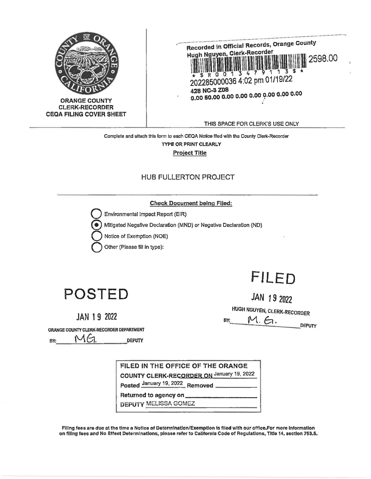



THIS SPACE FOR CLERK'S USE ONLY

Complete and attach this form to each CEQA Notice filed with the County Clerk-Recorder TYPE OR PRINT CLEARLY **Project Title** 

## **HUB FULLERTON PROJECT**

### **Check Document being Filed:**

Environmental Impact Report (EIR)

Mitigated Negative Declaration (MND) or Negative Declaration (ND)

Notice of Exemption (NOE)

Other (Please fill in type):

# **POSTED**

**JAN 19 2022** 

JAN 19 2022

FILED

**HUGH NGUYEN, CLERK-RECORDER** 

 $M.6$ BY:

DEPUTY

ORANGE COUNTY CLERK-RECORDER DEPARTMENT

MG BY: DEPUTY

FILED IN THE OFFICE OF THE ORANGE COUNTY CLERK-RECORDER ON January 19, 2022

Posted January 19, 2022 Removed

Returned to agency on

**DEPUTY MELISSA GOMEZ** 

Filing fees are due at the time a Notice of Determination/Exemption is filed with our office.For more information on filing fees and No Effect Determinations, please refer to California Code of Regulations, Title 14, section 753.5.